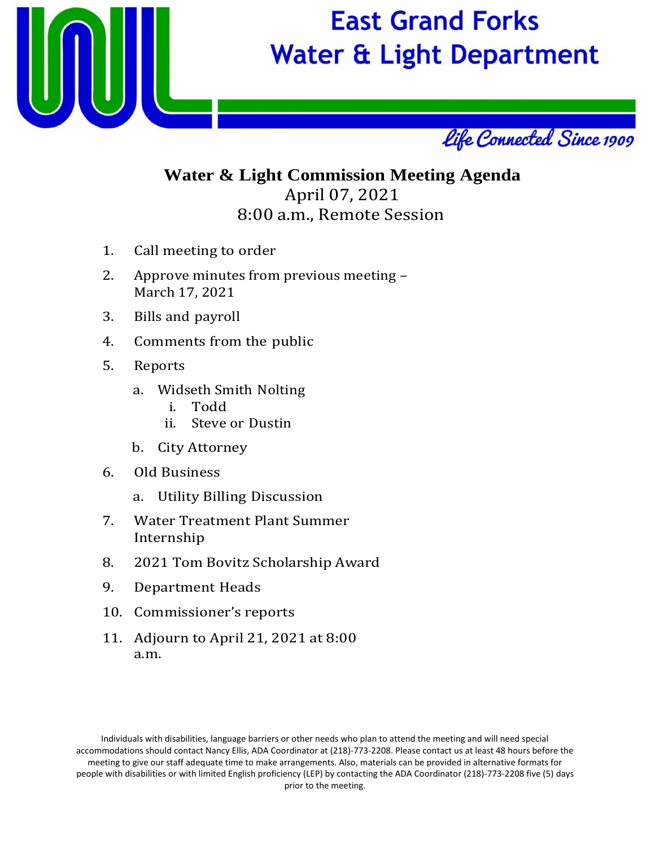

## **East Grand Forks Water & Light Department**



## **Water & Light Commission Meeting Agenda** April 07, 2021 8:00 a.m., Remote Session

- 1. Call meeting to order
- 2. Approve minutes from previous meeting March 17, 2021
- 3. Bills and payroll
- 4. Comments from the public
- 5. Reports
	- a. Widseth Smith Nolting
		- i. Todd
		- Steve or Dustin
	- b. City Attorney
- 6. Old Business
	- a. Utility Billing Discussion
- 7. Water Treatment Plant Summer Internship
- 8. 2021 Tom Bovitz Scholarship Award
- 9. Department Heads
- 10. Commissioner's reports
- 11. Adjourn to April 21, 2021 at 8:00 a.m.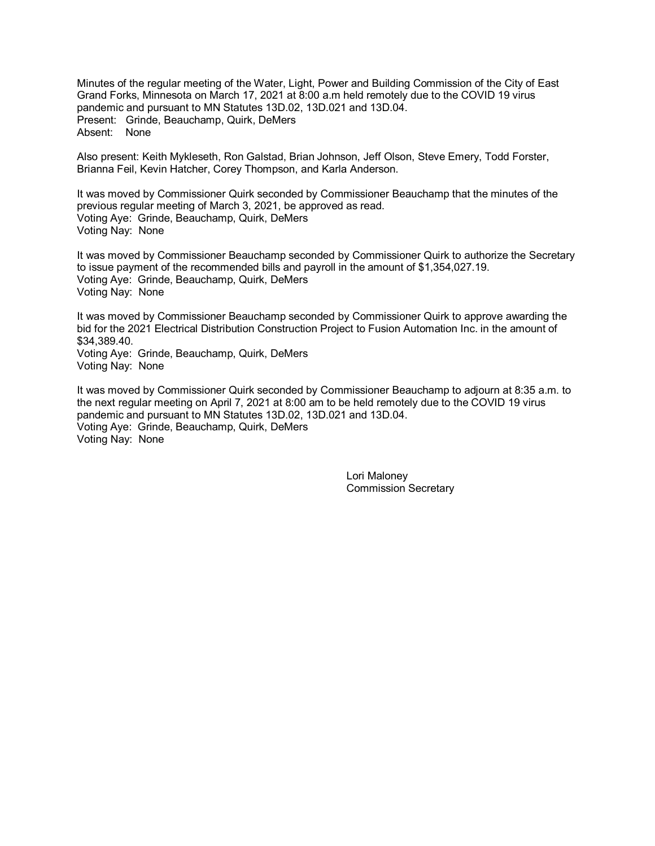Minutes of the regular meeting of the Water, Light, Power and Building Commission of the City of East Grand Forks, Minnesota on March 17, 2021 at 8:00 a.m held remotely due to the COVID 19 virus pandemic and pursuant to MN Statutes 13D.02, 13D.021 and 13D.04. Present: Grinde, Beauchamp, Quirk, DeMers Absent: None

Also present: Keith Mykleseth, Ron Galstad, Brian Johnson, Jeff Olson, Steve Emery, Todd Forster, Brianna Feil, Kevin Hatcher, Corey Thompson, and Karla Anderson.

It was moved by Commissioner Quirk seconded by Commissioner Beauchamp that the minutes of the previous regular meeting of March 3, 2021, be approved as read. Voting Aye: Grinde, Beauchamp, Quirk, DeMers Voting Nay: None

It was moved by Commissioner Beauchamp seconded by Commissioner Quirk to authorize the Secretary to issue payment of the recommended bills and payroll in the amount of \$1,354,027.19. Voting Aye: Grinde, Beauchamp, Quirk, DeMers Voting Nay: None

It was moved by Commissioner Beauchamp seconded by Commissioner Quirk to approve awarding the bid for the 2021 Electrical Distribution Construction Project to Fusion Automation Inc. in the amount of \$34,389.40. Voting Aye: Grinde, Beauchamp, Quirk, DeMers Voting Nay: None

It was moved by Commissioner Quirk seconded by Commissioner Beauchamp to adjourn at 8:35 a.m. to the next regular meeting on April 7, 2021 at 8:00 am to be held remotely due to the COVID 19 virus pandemic and pursuant to MN Statutes 13D.02, 13D.021 and 13D.04. Voting Aye: Grinde, Beauchamp, Quirk, DeMers Voting Nay: None

> Lori Maloney Commission Secretary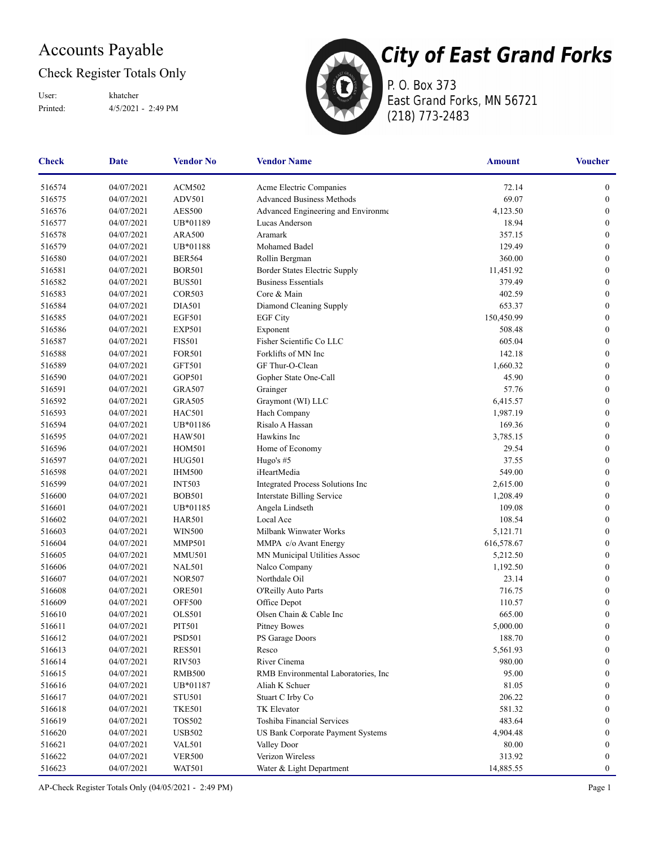## Accounts Payable

### Check Register Totals Only

Printed: 4/5/2021 - 2:49 PM User: khatcher



**City of East Grand Forks** 

P. O. Box 373 East Grand Forks, MN 56721 (218) 773-2483

| Check  | <b>Date</b> | <b>Vendor No</b> | <b>Vendor Name</b>                       | <b>Amount</b> | <b>Voucher</b>   |
|--------|-------------|------------------|------------------------------------------|---------------|------------------|
| 516574 | 04/07/2021  | ACM502           | Acme Electric Companies                  | 72.14         | $\boldsymbol{0}$ |
| 516575 | 04/07/2021  | <b>ADV501</b>    | <b>Advanced Business Methods</b>         | 69.07         | $\boldsymbol{0}$ |
| 516576 | 04/07/2021  | <b>AES500</b>    | Advanced Engineering and Environme       | 4,123.50      | $\boldsymbol{0}$ |
| 516577 | 04/07/2021  | UB*01189         | Lucas Anderson                           | 18.94         | $\boldsymbol{0}$ |
| 516578 | 04/07/2021  | <b>ARA500</b>    | Aramark                                  | 357.15        | $\boldsymbol{0}$ |
| 516579 | 04/07/2021  | UB*01188         | Mohamed Badel                            | 129.49        | $\boldsymbol{0}$ |
| 516580 | 04/07/2021  | <b>BER564</b>    | Rollin Bergman                           | 360.00        | $\boldsymbol{0}$ |
| 516581 | 04/07/2021  | <b>BOR501</b>    | Border States Electric Supply            | 11,451.92     | $\boldsymbol{0}$ |
| 516582 | 04/07/2021  | <b>BUS501</b>    | <b>Business Essentials</b>               | 379.49        | $\mathbf{0}$     |
| 516583 | 04/07/2021  | <b>COR503</b>    | Core & Main                              | 402.59        | $\mathbf{0}$     |
| 516584 | 04/07/2021  | <b>DIA501</b>    | Diamond Cleaning Supply                  | 653.37        | $\boldsymbol{0}$ |
| 516585 | 04/07/2021  | <b>EGF501</b>    | <b>EGF City</b>                          | 150,450.99    | $\boldsymbol{0}$ |
| 516586 | 04/07/2021  | <b>EXP501</b>    | Exponent                                 | 508.48        | 0                |
| 516587 | 04/07/2021  | <b>FIS501</b>    | Fisher Scientific Co LLC                 | 605.04        | $\boldsymbol{0}$ |
| 516588 | 04/07/2021  | <b>FOR501</b>    | Forklifts of MN Inc                      | 142.18        | $\boldsymbol{0}$ |
| 516589 | 04/07/2021  | GFT501           | GF Thur-O-Clean                          | 1,660.32      | $\boldsymbol{0}$ |
| 516590 | 04/07/2021  | GOP501           | Gopher State One-Call                    | 45.90         | $\overline{0}$   |
| 516591 | 04/07/2021  | <b>GRA507</b>    | Grainger                                 | 57.76         | $\boldsymbol{0}$ |
| 516592 | 04/07/2021  | <b>GRA505</b>    | Graymont (WI) LLC                        | 6,415.57      | $\boldsymbol{0}$ |
| 516593 | 04/07/2021  | <b>HAC501</b>    | Hach Company                             | 1,987.19      | $\boldsymbol{0}$ |
| 516594 | 04/07/2021  | UB*01186         | Risalo A Hassan                          | 169.36        | $\boldsymbol{0}$ |
| 516595 | 04/07/2021  | <b>HAW501</b>    | Hawkins Inc                              | 3,785.15      | 0                |
| 516596 | 04/07/2021  | <b>HOM501</b>    | Home of Economy                          | 29.54         | $\overline{0}$   |
| 516597 | 04/07/2021  | <b>HUG501</b>    | Hugo's #5                                | 37.55         | $\boldsymbol{0}$ |
| 516598 | 04/07/2021  | <b>IHM500</b>    | iHeartMedia                              | 549.00        | $\boldsymbol{0}$ |
| 516599 | 04/07/2021  | <b>INT503</b>    | Integrated Process Solutions Inc         | 2,615.00      | 0                |
| 516600 | 04/07/2021  | <b>BOB501</b>    | <b>Interstate Billing Service</b>        | 1,208.49      | $\boldsymbol{0}$ |
| 516601 | 04/07/2021  | UB*01185         | Angela Lindseth                          | 109.08        | $\boldsymbol{0}$ |
| 516602 | 04/07/2021  | <b>HAR501</b>    | Local Ace                                | 108.54        | $\overline{0}$   |
| 516603 | 04/07/2021  | <b>WIN500</b>    | Milbank Winwater Works                   | 5,121.71      | $\overline{0}$   |
| 516604 | 04/07/2021  | <b>MMP501</b>    | MMPA c/o Avant Energy                    | 616,578.67    | $\boldsymbol{0}$ |
| 516605 | 04/07/2021  | <b>MMU501</b>    | MN Municipal Utilities Assoc             | 5,212.50      | $\boldsymbol{0}$ |
| 516606 | 04/07/2021  | <b>NAL501</b>    | Nalco Company                            | 1,192.50      | 0                |
| 516607 | 04/07/2021  | <b>NOR507</b>    | Northdale Oil                            | 23.14         | $\boldsymbol{0}$ |
| 516608 | 04/07/2021  | <b>ORE501</b>    | O'Reilly Auto Parts                      | 716.75        | $\boldsymbol{0}$ |
| 516609 | 04/07/2021  | <b>OFF500</b>    | Office Depot                             | 110.57        | $\overline{0}$   |
| 516610 | 04/07/2021  | <b>OLS501</b>    | Olsen Chain & Cable Inc                  | 665.00        | $\boldsymbol{0}$ |
| 516611 | 04/07/2021  | <b>PIT501</b>    | <b>Pitney Bowes</b>                      | 5,000.00      | $\boldsymbol{0}$ |
| 516612 | 04/07/2021  | PSD501           | PS Garage Doors                          | 188.70        | $\boldsymbol{0}$ |
| 516613 | 04/07/2021  | <b>RES501</b>    | Resco                                    | 5,561.93      | $\boldsymbol{0}$ |
| 516614 | 04/07/2021  | <b>RIV503</b>    | River Cinema                             | 980.00        | $\boldsymbol{0}$ |
| 516615 | 04/07/2021  | <b>RMB500</b>    | RMB Environmental Laboratories, Inc.     | 95.00         | $\overline{0}$   |
| 516616 | 04/07/2021  | UB*01187         | Aliah K Schuer                           | 81.05         | $\bf{0}$         |
| 516617 | 04/07/2021  | <b>STU501</b>    | Stuart C Irby Co                         | 206.22        | $\mathbf{0}$     |
| 516618 | 04/07/2021  | <b>TKE501</b>    | TK Elevator                              | 581.32        | $\bf{0}$         |
| 516619 | 04/07/2021  | <b>TOS502</b>    | Toshiba Financial Services               | 483.64        | 0                |
| 516620 | 04/07/2021  | <b>USB502</b>    | <b>US Bank Corporate Payment Systems</b> | 4,904.48      | 0                |
| 516621 | 04/07/2021  | <b>VAL501</b>    | Valley Door                              | 80.00         | 0                |
| 516622 | 04/07/2021  | <b>VER500</b>    | Verizon Wireless                         | 313.92        | $\overline{0}$   |
| 516623 | 04/07/2021  | <b>WAT501</b>    | Water & Light Department                 | 14,885.55     | $\boldsymbol{0}$ |

AP-Check Register Totals Only (04/05/2021 - 2:49 PM) Page 1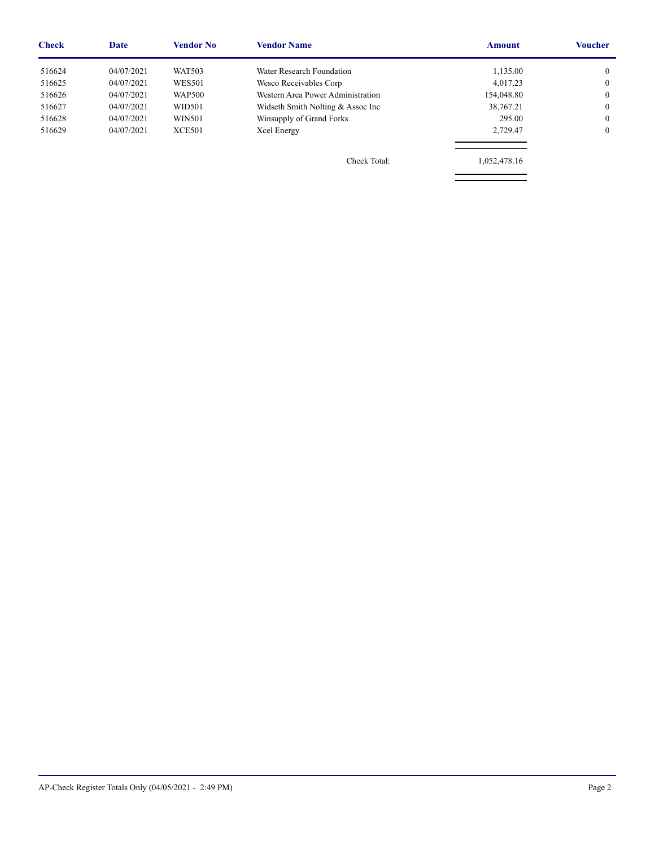| <b>Check</b> | <b>Date</b> | Vendor No     | <b>Vendor Name</b>                | <b>Amount</b> | Voucher |
|--------------|-------------|---------------|-----------------------------------|---------------|---------|
| 516624       | 04/07/2021  | <b>WAT503</b> | Water Research Foundation         | 1,135.00      |         |
| 516625       | 04/07/2021  | <b>WES501</b> | Wesco Receivables Corp            | 4.017.23      |         |
| 516626       | 04/07/2021  | <b>WAP500</b> | Western Area Power Administration | 154,048.80    | 0       |
| 516627       | 04/07/2021  | WID501        | Widseth Smith Nolting & Assoc Inc | 38,767.21     |         |
| 516628       | 04/07/2021  | WIN501        | Winsupply of Grand Forks          | 295.00        | 0       |
| 516629       | 04/07/2021  | <b>XCE501</b> | Xcel Energy                       | 2,729.47      |         |
|              |             |               |                                   |               |         |
|              |             |               |                                   |               |         |

Check Total: 1,052,478.16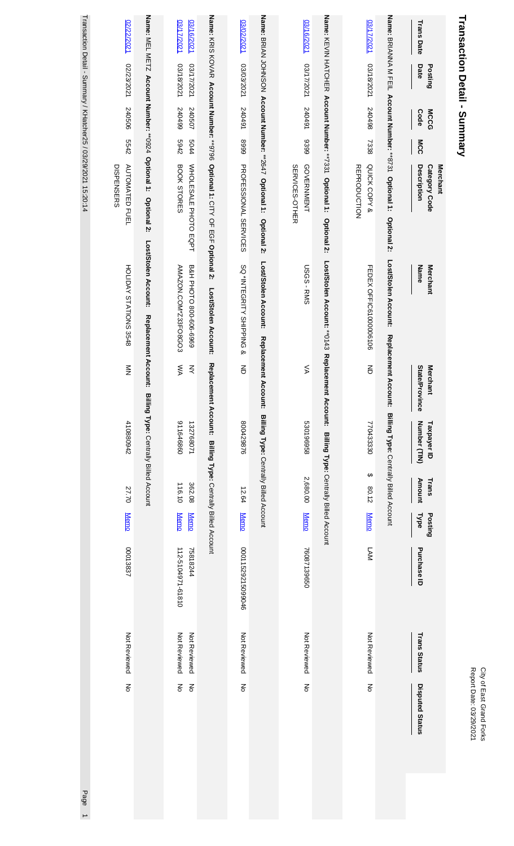# **Transaction Detail - Summary Transaction Detail - Summary**

| Transaction Detail - Summary / KHatcher25 / 03/29/2021 15:20:14 | 02/22/2021                          |                                                               | 17/2021<br>03/16/2021                              |                                                                             | 03/02/2021                   |                                                                    | 03/16/2021                          |                                                                    | 1202/17/2021                        |                                                                     | <b>Trans Date</b><br>Date                       |
|-----------------------------------------------------------------|-------------------------------------|---------------------------------------------------------------|----------------------------------------------------|-----------------------------------------------------------------------------|------------------------------|--------------------------------------------------------------------|-------------------------------------|--------------------------------------------------------------------|-------------------------------------|---------------------------------------------------------------------|-------------------------------------------------|
|                                                                 | 12/23/2021                          |                                                               | 18/2021<br>17/2021                                 |                                                                             | 1202/2021                    |                                                                    | 1202/1780                           |                                                                    | 18/2021                             |                                                                     | Posting                                         |
|                                                                 | 240506                              |                                                               | 66+0+2<br>240507                                   |                                                                             | 167042                       |                                                                    | 240491                              |                                                                    | 867042                              |                                                                     | <b>Code</b><br><b>MCCG</b>                      |
|                                                                 | 5542                                |                                                               | 2769<br>5044                                       |                                                                             | 6668                         |                                                                    | 8399                                |                                                                    | 7338                                |                                                                     | MCC                                             |
|                                                                 | <b>AUTOMATED FUEL</b><br>DISPENSERS | Name: MEL METZ Account Number: **0924 Optional 1: Optional 2: | BOOK STORES<br>WHOLE SALE PHOTO EQPT               | Name: KRIS KOVAR Account Number: **9796 Optional 1: CITY OF EGF Optional 2: | <b>PROFESSIONAL SERVICES</b> | Name: BRIAN JOHNSON Account Number: **2647 Optional 1: Optional 2: | <b>GOVERNMENT</b><br>SERVICES-OTHER | Name: KEVIN HATCHER Account Number: **7331 Optional 1: Optional 2: | QUICK COPY &<br><b>REPRODUCTION</b> | Name: BRIANNA M FEIL Account Number: **8731 Optional 1: Optional 2: | Description<br><b>Category Code</b><br>Merchant |
|                                                                 | HOLIDAY STATIONS 3548               | Lost/Stolen Account:<br>Replacement Account:                  | B&H PHOTO 800-606-6969<br>AMAZON.COM*Z33FO8GO3     | Lost/Stolen Account:                                                        | SQ *INTEGRITY SHIPPING &     | Lost/Stolen Account:                                               | <b>USGS-RMS</b>                     | Lost/Stolen Account: ** 0143 Replaceme                             | FEDEX OFFIC61000006106              | Lost/Stolen Account:                                                | <b>Merchant</b><br>Name                         |
|                                                                 | $\sum_{i=1}^{n}$                    |                                                               | ŠХ<br>₹                                            |                                                                             | $\overline{5}$               | Replacement Account: Billing Type: Centrally Billed Account        | ⋚                                   | nt Account:                                                        | 증                                   | Replacement Account: Billing Type: Centrally Billed Account         | State/Province<br><b>Merchant</b>               |
|                                                                 | 410880942                           | Billing Type: Centrally Billed Account                        | 098999116<br>132768071                             | Replacement Account: Billing Type: Centrally Billed Account                 | 800429876                    |                                                                    | 896196958                           | Billing Type: Centrally Billed Account                             | 770433330                           |                                                                     | Number (TIN)<br>Taxpayer ID                     |
|                                                                 | 27.70                               |                                                               | 116.10<br>362.08                                   |                                                                             | 12.64                        |                                                                    | 2,680.00                            |                                                                    | ↔<br>80.12                          |                                                                     | <b>Amount</b><br>Trans                          |
|                                                                 | <b>Memo</b>                         |                                                               | <b>Memo</b><br><b>Memo</b>                         |                                                                             | <b>Memo</b>                  |                                                                    | <b>Memo</b>                         |                                                                    | <b>Memo</b>                         |                                                                     | Posting<br><b>Type</b>                          |
|                                                                 | 00013837                            |                                                               | 112-5104971-61810<br>75818244                      |                                                                             | 00011529215099046            |                                                                    | 76087139650                         |                                                                    | <b>LAM</b>                          |                                                                     | Purchase ID                                     |
|                                                                 | Not Reviewed                        |                                                               | Not Reviewed<br>Not Reviewed                       |                                                                             | Not Reviewed                 |                                                                    | Not Reviewed                        |                                                                    | Not Reviewed                        |                                                                     | <b>Trans Status</b>                             |
|                                                                 | $\overline{5}$                      |                                                               | $\mathop{\text{S}}\nolimits$<br>$\frac{2}{\sigma}$ |                                                                             | $\overline{5}$               |                                                                    | š                                   |                                                                    | $\overline{5}$                      |                                                                     | Disputed Status                                 |
| Page                                                            |                                     |                                                               |                                                    |                                                                             |                              |                                                                    |                                     |                                                                    |                                     |                                                                     |                                                 |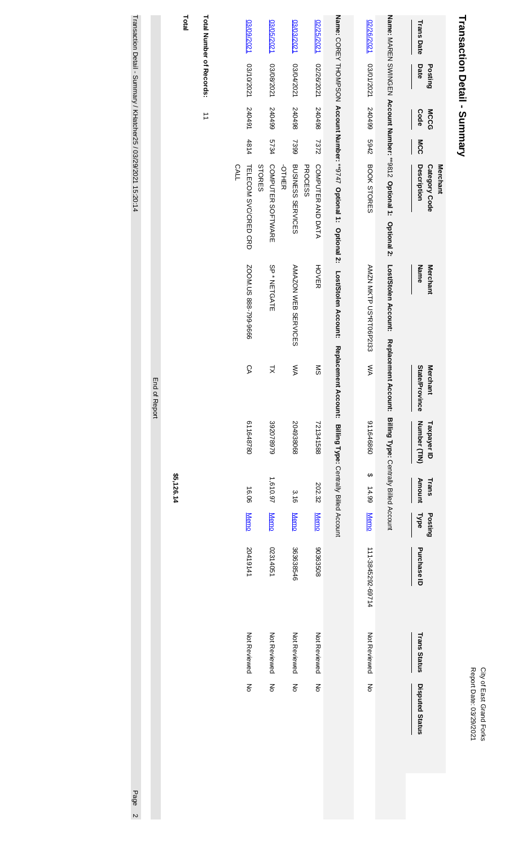| ă<br>Ξ<br>ale <sup>-</sup><br>š<br>יובאוכי<br>₹ |
|-------------------------------------------------|
|-------------------------------------------------|

# Transaction Detail - Summary **Transaction Detail - Summary**

|               | Total      |                          | 12/09/2021                          | 03/05/2021                  | 03/03/2021                               | 02/25/2021                          |                                                                     | 02/26/2021             |                                                                                                                                                     | <b>Trans Date</b>                               |
|---------------|------------|--------------------------|-------------------------------------|-----------------------------|------------------------------------------|-------------------------------------|---------------------------------------------------------------------|------------------------|-----------------------------------------------------------------------------------------------------------------------------------------------------|-------------------------------------------------|
|               |            | Total Number of Records: | 1202/01/2021                        | 1202/80/2021                | 1202/104/2021                            | 02/26/2021                          |                                                                     | 1202/1020              |                                                                                                                                                     | Date<br>Posting                                 |
|               |            | $\overrightarrow{=}$     | 240491                              | 540499                      | 867042                                   | 867042                              |                                                                     | 667042                 |                                                                                                                                                     | <b>MCCG</b><br>Code                             |
|               |            |                          | 4814                                | 5734                        | 7399                                     | 7372                                |                                                                     | 2769                   |                                                                                                                                                     | MCC                                             |
|               |            |                          | <b>CALL</b><br>TELECOM SVC/CRED CRD | COMPUTER SOFTWARE<br>STORES | <b>BUSINESS SERVICES</b><br><b>OTHER</b> | COMPUTER AND DATA<br><b>PROCESS</b> | Name: COREY THOMPSON Account Number: **9747 Optional 1: Optional 2: | BOOK STORES            | Name: MAREN SWINGEN Account Number: **9812 Optional 1: Optional 2: Lost/Stolen Account: Replacement Account: Billing Type: Centrally Billed Account | Description<br><b>Merchant</b><br>Category Code |
|               |            |                          | SOOM US 888-799-9666                | SP* NETGATE                 | AMAZON WEB SERVICES                      | <b>HOVER</b>                        | Lost/Stolen Account:                                                | AMZN MKTP US*RT06P2133 |                                                                                                                                                     | Name<br>Merchant                                |
| End of Report |            |                          | СA                                  | k                           | ŠХ                                       | SΜ                                  | Replacement                                                         | ŠХ                     |                                                                                                                                                     | State/Province<br><b>Merchant</b>               |
|               |            |                          | 611648780                           | 392078979                   | 204938068                                | 721341588                           | Account: Billing Type: Centrally Billed Account                     | 098999116              |                                                                                                                                                     | Number (TIN)<br>Taxpayer ID                     |
|               | \$5,126.14 |                          | 16.06                               | 1,610.97                    | 3.16                                     | 202.32                              |                                                                     | ↔<br>14.99             |                                                                                                                                                     | <b>Amount</b><br>Trans                          |
|               |            |                          | <b>Memo</b>                         | <b>Memo</b>                 | <b>Memo</b>                              | <b>Memo</b>                         |                                                                     | <b>Memo</b>            |                                                                                                                                                     | <b>Type</b><br>Posting                          |
|               |            |                          | 20419141                            | 02314051                    | 363638546                                | 80353508                            |                                                                     | 111-3845292-69714      |                                                                                                                                                     | Purchase ID                                     |
|               |            |                          | Not Reviewed                        | Not Reviewed                | Not Reviewed                             | Not Reviewed                        |                                                                     | Not Reviewed           |                                                                                                                                                     | <b>Trans Status</b>                             |
|               |            |                          | ξ                                   | ξ                           | $\overline{5}$                           | $\overline{5}$                      |                                                                     | $\overline{5}$         |                                                                                                                                                     | Disputed Status                                 |

Transaction Detail - Summary / KHatcher25 / 03/29/2021 15:20:14 Transaction Detail - Summary / KHatcher25 / 03/29/2021 15:20:14 Page 21:20:20 15:20:14 Page 21:20:20 15:20:14 Page 2

Page 2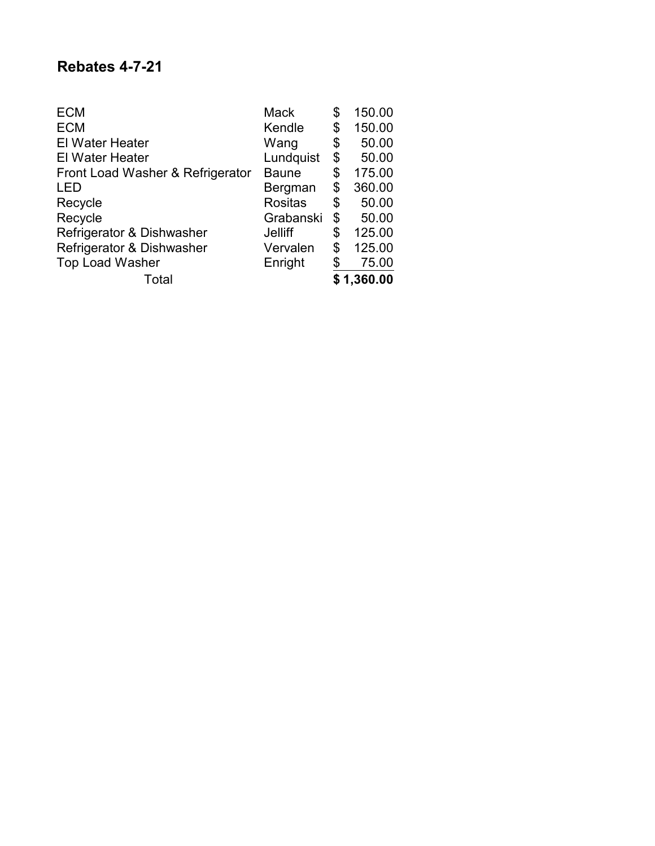## **Rebates 4-7-21**

| <b>ECM</b>                       | <b>Mack</b>    | \$ | 150.00     |
|----------------------------------|----------------|----|------------|
| <b>ECM</b>                       | Kendle         | \$ | 150.00     |
| <b>El Water Heater</b>           | Wang           | \$ | 50.00      |
| <b>El Water Heater</b>           | Lundquist      | \$ | 50.00      |
| Front Load Washer & Refrigerator | <b>Baune</b>   | \$ | 175.00     |
| LED                              | Bergman        | \$ | 360.00     |
| Recycle                          | <b>Rositas</b> | \$ | 50.00      |
| Recycle                          | Grabanski      | \$ | 50.00      |
| Refrigerator & Dishwasher        | Jelliff        | S  | 125.00     |
| Refrigerator & Dishwasher        | Vervalen       | \$ | 125.00     |
| <b>Top Load Washer</b>           | Enright        |    | 75.00      |
| Total                            |                |    | \$1,360.00 |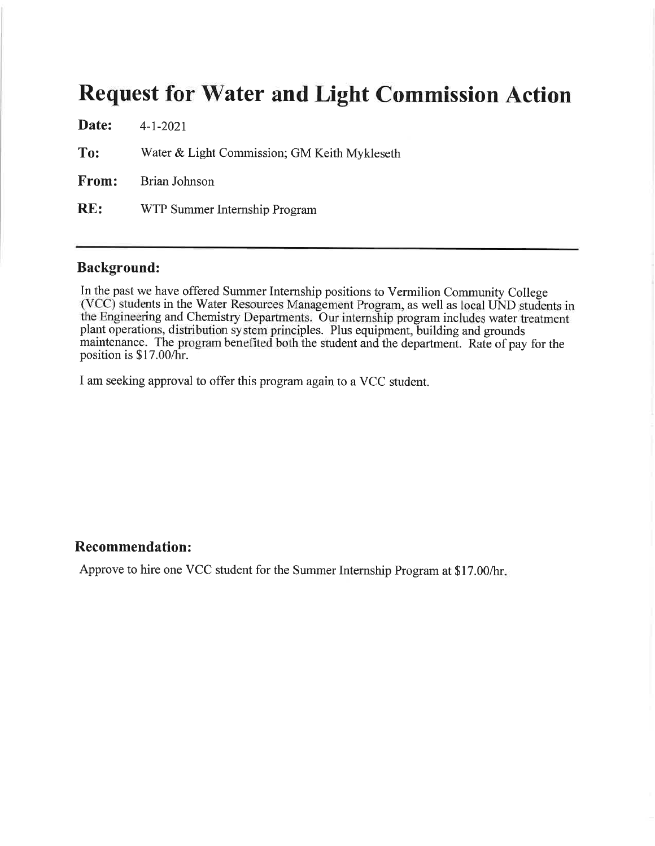## **Request for Water and Light Commission Action**

Date:  $4 - 1 - 2021$ To: Water & Light Commission; GM Keith Mykleseth From: Brian Johnson  $RE:$ WTP Summer Internship Program

#### **Background:**

In the past we have offered Summer Internship positions to Vermilion Community College (VCC) students in the Water Resources Management Program, as well as local UND students in the Engineering and Chemistry Departments. Our internship program includes water treatment plant operations, distribution system principles. Plus equipment, building and grounds maintenance. The program benefited both the student and the department. Rate of pay for the position is \$17.00/hr.

I am seeking approval to offer this program again to a VCC student.

### **Recommendation:**

Approve to hire one VCC student for the Summer Internship Program at \$17.00/hr.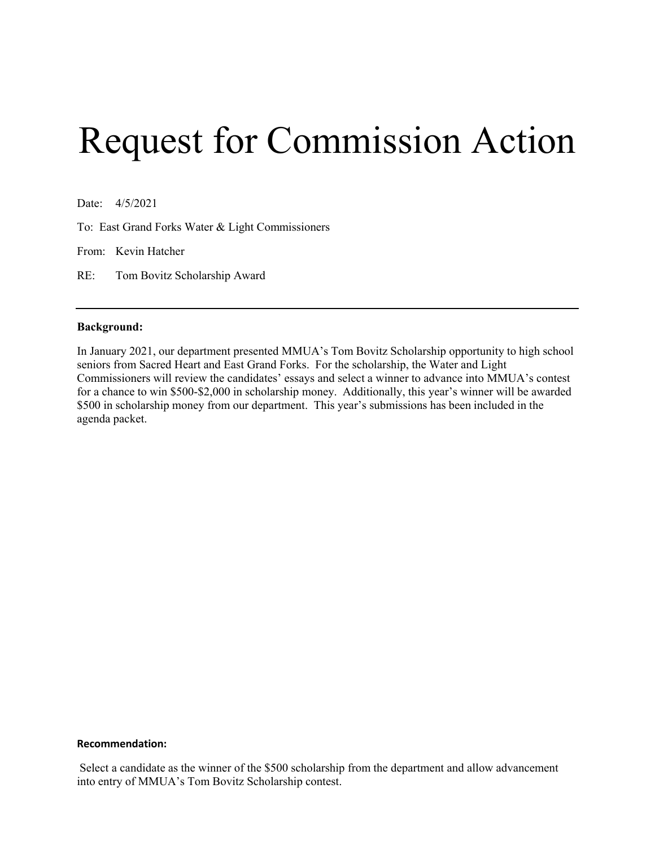# Request for Commission Action

Date: 4/5/2021

To: East Grand Forks Water & Light Commissioners

From: Kevin Hatcher

RE: Tom Bovitz Scholarship Award

#### **Background:**

In January 2021, our department presented MMUA's Tom Bovitz Scholarship opportunity to high school seniors from Sacred Heart and East Grand Forks. For the scholarship, the Water and Light Commissioners will review the candidates' essays and select a winner to advance into MMUA's contest for a chance to win \$500-\$2,000 in scholarship money. Additionally, this year's winner will be awarded \$500 in scholarship money from our department. This year's submissions has been included in the agenda packet.

#### **Recommendation:**

Select a candidate as the winner of the \$500 scholarship from the department and allow advancement into entry of MMUA's Tom Bovitz Scholarship contest.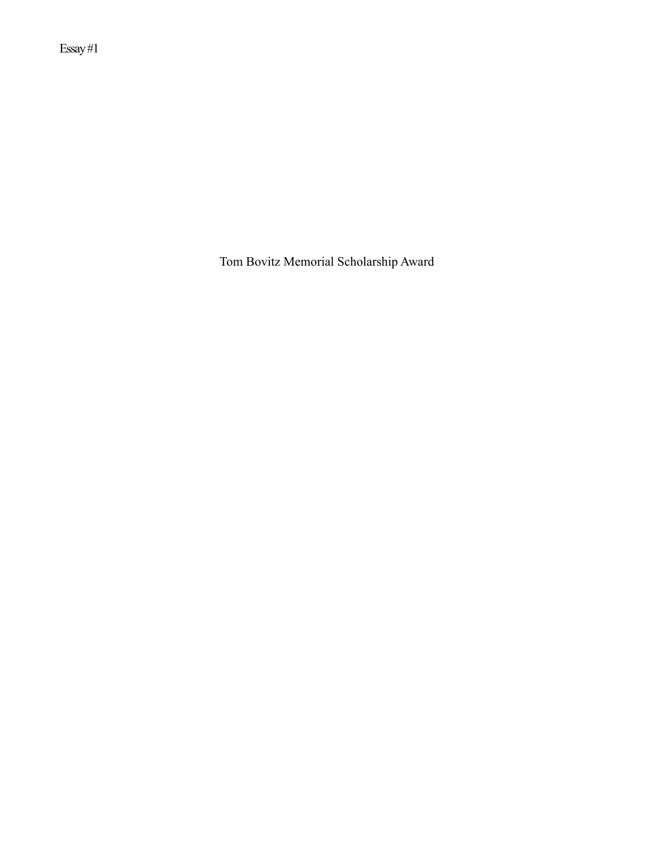Essay #1

Tom Bovitz Memorial Scholarship Award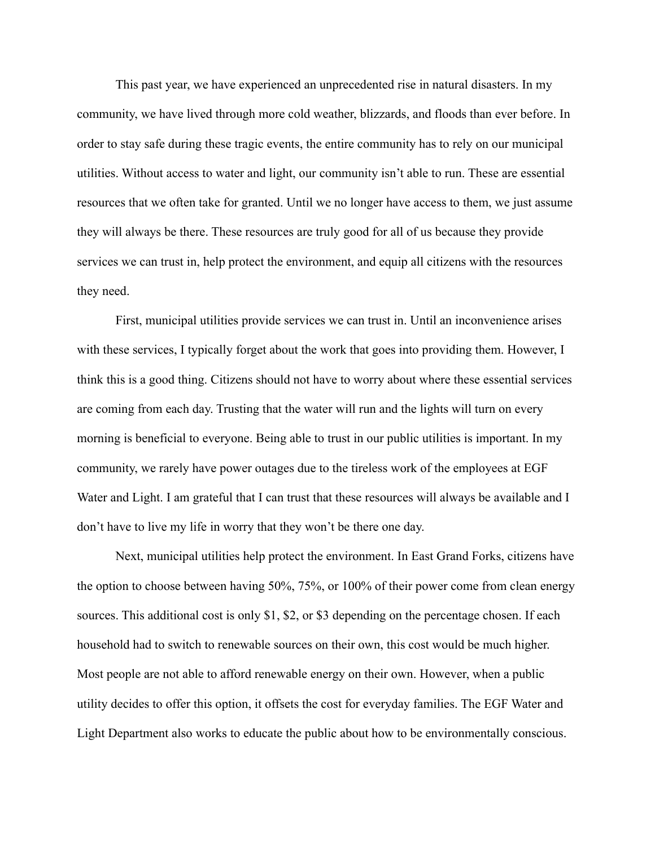This past year, we have experienced an unprecedented rise in natural disasters. In my community, we have lived through more cold weather, blizzards, and floods than ever before. In order to stay safe during these tragic events, the entire community has to rely on our municipal utilities. Without access to water and light, our community isn't able to run. These are essential resources that we often take for granted. Until we no longer have access to them, we just assume they will always be there. These resources are truly good for all of us because they provide services we can trust in, help protect the environment, and equip all citizens with the resources they need.

First, municipal utilities provide services we can trust in. Until an inconvenience arises with these services, I typically forget about the work that goes into providing them. However, I think this is a good thing. Citizens should not have to worry about where these essential services are coming from each day. Trusting that the water will run and the lights will turn on every morning is beneficial to everyone. Being able to trust in our public utilities is important. In my community, we rarely have power outages due to the tireless work of the employees at EGF Water and Light. I am grateful that I can trust that these resources will always be available and I don't have to live my life in worry that they won't be there one day.

Next, municipal utilities help protect the environment. In East Grand Forks, citizens have the option to choose between having 50%, 75%, or 100% of their power come from clean energy sources. This additional cost is only \$1, \$2, or \$3 depending on the percentage chosen. If each household had to switch to renewable sources on their own, this cost would be much higher. Most people are not able to afford renewable energy on their own. However, when a public utility decides to offer this option, it offsets the cost for everyday families. The EGF Water and Light Department also works to educate the public about how to be environmentally conscious.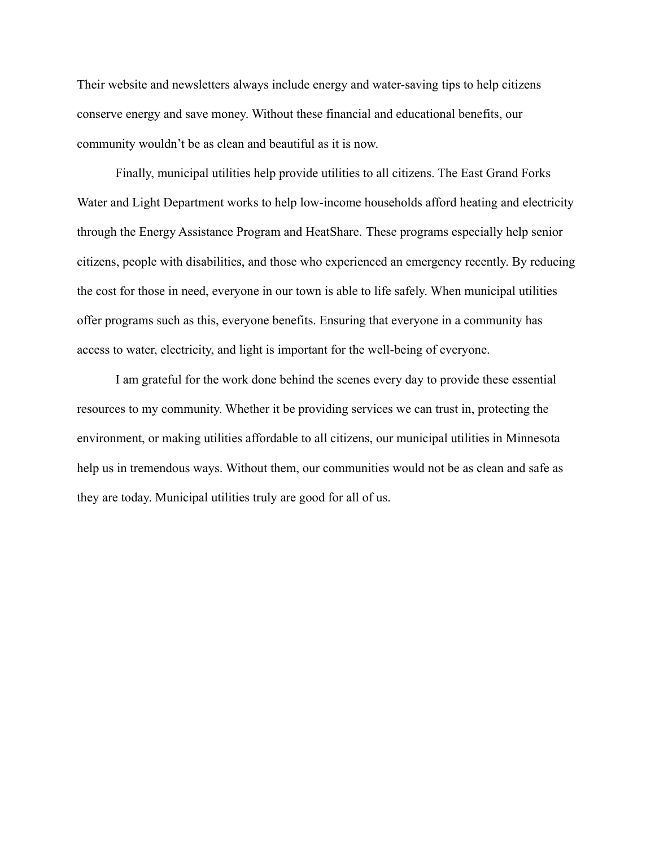Their website and newsletters always include energy and water-saving tips to help citizens conserve energy and save money. Without these financial and educational benefits, our community wouldn't be as clean and beautiful as it is now.

Finally, municipal utilities help provide utilities to all citizens. The East Grand Forks Water and Light Department works to help low-income households afford heating and electricity through the Energy Assistance Program and HeatShare. These programs especially help senior citizens, people with disabilities, and those who experienced an emergency recently. By reducing the cost for those in need, everyone in our town is able to life safely. When municipal utilities offer programs such as this, everyone benefits. Ensuring that everyone in a community has access to water, electricity, and light is important for the well-being of everyone.

I am grateful for the work done behind the scenes every day to provide these essential resources to my community. Whether it be providing services we can trust in, protecting the environment, or making utilities affordable to all citizens, our municipal utilities in Minnesota help us in tremendous ways. Without them, our communities would not be as clean and safe as they are today. Municipal utilities truly are good for all of us.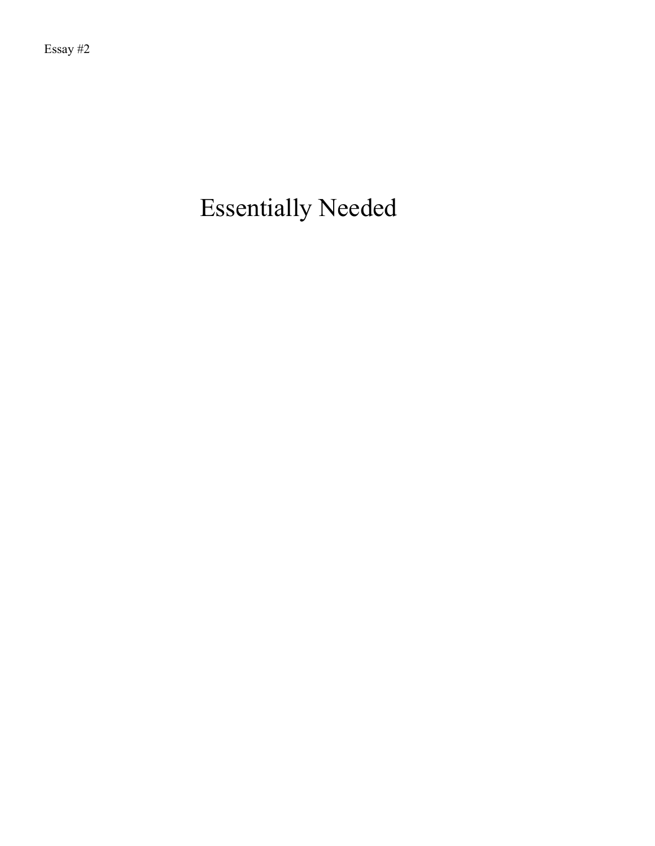## Essentially Needed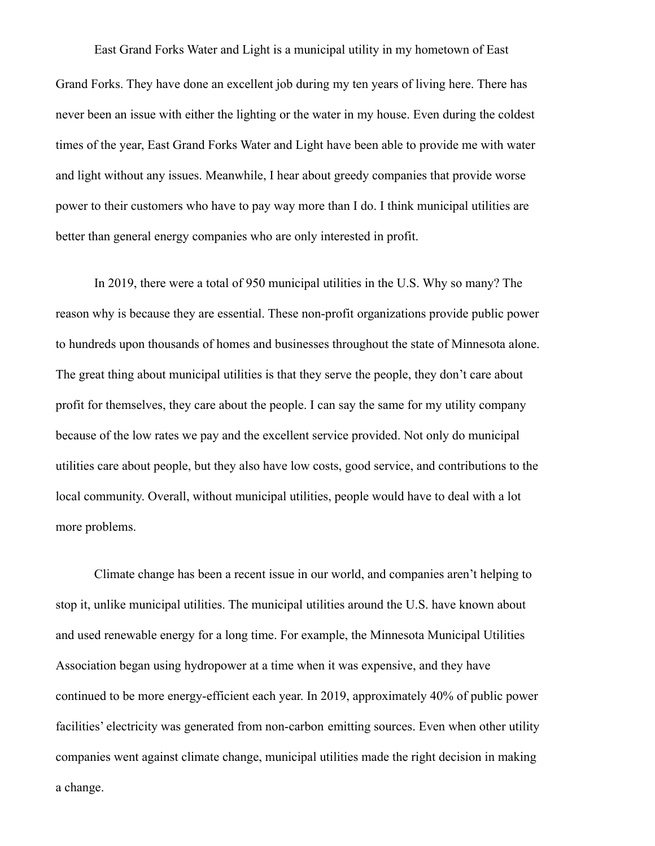East Grand Forks Water and Light is a municipal utility in my hometown of East Grand Forks. They have done an excellent job during my ten years of living here. There has never been an issue with either the lighting or the water in my house. Even during the coldest times of the year, East Grand Forks Water and Light have been able to provide me with water and light without any issues. Meanwhile, I hear about greedy companies that provide worse power to their customers who have to pay way more than I do. I think municipal utilities are better than general energy companies who are only interested in profit.

In 2019, there were a total of 950 municipal utilities in the U.S. Why so many? The reason why is because they are essential. These non-profit organizations provide public power to hundreds upon thousands of homes and businesses throughout the state of Minnesota alone. The great thing about municipal utilities is that they serve the people, they don't care about profit for themselves, they care about the people. I can say the same for my utility company because of the low rates we pay and the excellent service provided. Not only do municipal utilities care about people, but they also have low costs, good service, and contributions to the local community. Overall, without municipal utilities, people would have to deal with a lot more problems.

Climate change has been a recent issue in our world, and companies aren't helping to stop it, unlike municipal utilities. The municipal utilities around the U.S. have known about and used renewable energy for a long time. For example, the Minnesota Municipal Utilities Association began using hydropower at a time when it was expensive, and they have continued to be more energy-efficient each year. In 2019, approximately 40% of public power facilities' electricity was generated from non-carbon emitting sources. Even when other utility companies went against climate change, municipal utilities made the right decision in making a change.